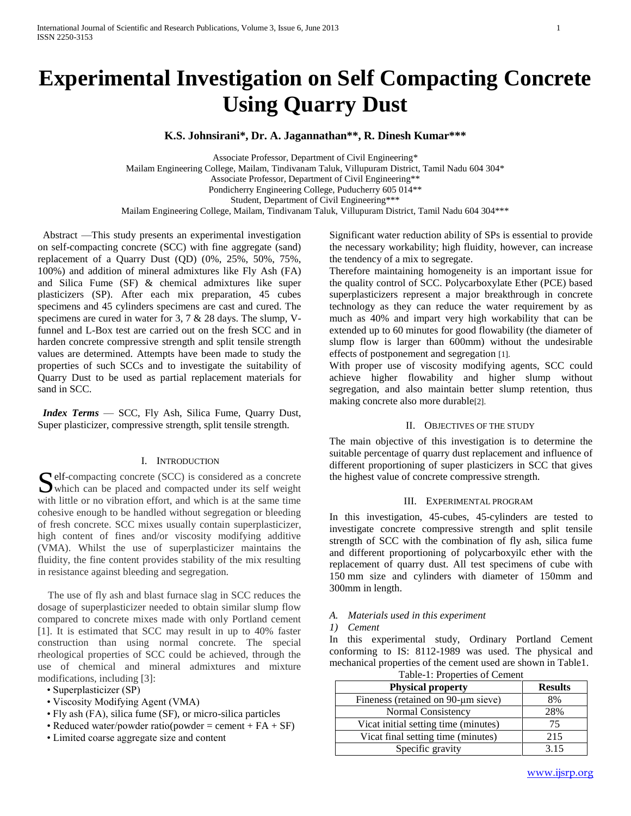# **Experimental Investigation on Self Compacting Concrete Using Quarry Dust**

**K.S. Johnsirani\*, Dr. A. Jagannathan\*\*, R. Dinesh Kumar\*\*\***

Associate Professor, Department of Civil Engineering\*

Mailam Engineering College, Mailam, Tindivanam Taluk, Villupuram District, Tamil Nadu 604 304\* Associate Professor, Department of Civil Engineering\*\* Pondicherry Engineering College, Puducherry 605 014\*\* Student, Department of Civil Engineering\*\*\*

Mailam Engineering College, Mailam, Tindivanam Taluk, Villupuram District, Tamil Nadu 604 304\*\*\*

 Abstract —This study presents an experimental investigation on self-compacting concrete (SCC) with fine aggregate (sand) replacement of a Quarry Dust (QD) (0%, 25%, 50%, 75%, 100%) and addition of mineral admixtures like Fly Ash (FA) and Silica Fume (SF) & chemical admixtures like super plasticizers (SP). After each mix preparation, 45 cubes specimens and 45 cylinders specimens are cast and cured. The specimens are cured in water for 3, 7 & 28 days. The slump, Vfunnel and L-Box test are carried out on the fresh SCC and in harden concrete compressive strength and split tensile strength values are determined. Attempts have been made to study the properties of such SCCs and to investigate the suitability of Quarry Dust to be used as partial replacement materials for sand in SCC.

 *Index Terms* — SCC, Fly Ash, Silica Fume, Quarry Dust, Super plasticizer, compressive strength, split tensile strength.

# I. INTRODUCTION

elf-compacting concrete (SCC) is considered as a concrete Self-compacting concrete (SCC) is considered as a concrete which can be placed and compacted under its self weight with little or no vibration effort, and which is at the same time cohesive enough to be handled without segregation or bleeding of fresh concrete. SCC mixes usually contain superplasticizer, high content of fines and/or viscosity modifying additive (VMA). Whilst the use of superplasticizer maintains the fluidity, the fine content provides stability of the mix resulting in resistance against bleeding and segregation.

 The use of fly ash and blast furnace slag in SCC reduces the dosage of superplasticizer needed to obtain similar slump flow compared to concrete mixes made with only Portland cement [1]. It is estimated that SCC may result in up to 40% faster construction than using normal concrete. The special rheological properties of SCC could be achieved, through the use of chemical and mineral admixtures and mixture modifications, including [3]:

- Superplasticizer (SP)
- Viscosity Modifying Agent (VMA)
- Fly ash (FA), silica fume (SF), or micro-silica particles
- Reduced water/powder ratio(powder = cement +  $FA + SF$ )
- Limited coarse aggregate size and content

Significant water reduction ability of SPs is essential to provide the necessary workability; high fluidity, however, can increase the tendency of a mix to segregate.

Therefore maintaining homogeneity is an important issue for the quality control of SCC. Polycarboxylate Ether (PCE) based superplasticizers represent a major breakthrough in concrete technology as they can reduce the water requirement by as much as 40% and impart very high workability that can be extended up to 60 minutes for good flowability (the diameter of slump flow is larger than 600mm) without the undesirable effects of postponement and segregation [1].

With proper use of viscosity modifying agents, SCC could achieve higher flowability and higher slump without segregation, and also maintain better slump retention, thus making concrete also more durable[2].

# II. OBJECTIVES OF THE STUDY

The main objective of this investigation is to determine the suitable percentage of quarry dust replacement and influence of different proportioning of super plasticizers in SCC that gives the highest value of concrete compressive strength.

#### III. EXPERIMENTAL PROGRAM

In this investigation, 45-cubes, 45-cylinders are tested to investigate concrete compressive strength and split tensile strength of SCC with the combination of fly ash, silica fume and different proportioning of polycarboxyilc ether with the replacement of quarry dust. All test specimens of cube with 150 mm size and cylinders with diameter of 150mm and 300mm in length.

#### *A. Materials used in this experiment*

#### *1) Cement*

In this experimental study, Ordinary Portland Cement conforming to IS: 8112-1989 was used. The physical and mechanical properties of the cement used are shown in Table1.

Table-1: Properties of Cement

| <b>Physical property</b>             | <b>Results</b> |
|--------------------------------------|----------------|
| Fineness (retained on 90-µm sieve)   | 8%             |
| Normal Consistency                   | 28%            |
| Vicat initial setting time (minutes) | 75             |
| Vicat final setting time (minutes)   | 215            |
| Specific gravity                     | 3.15           |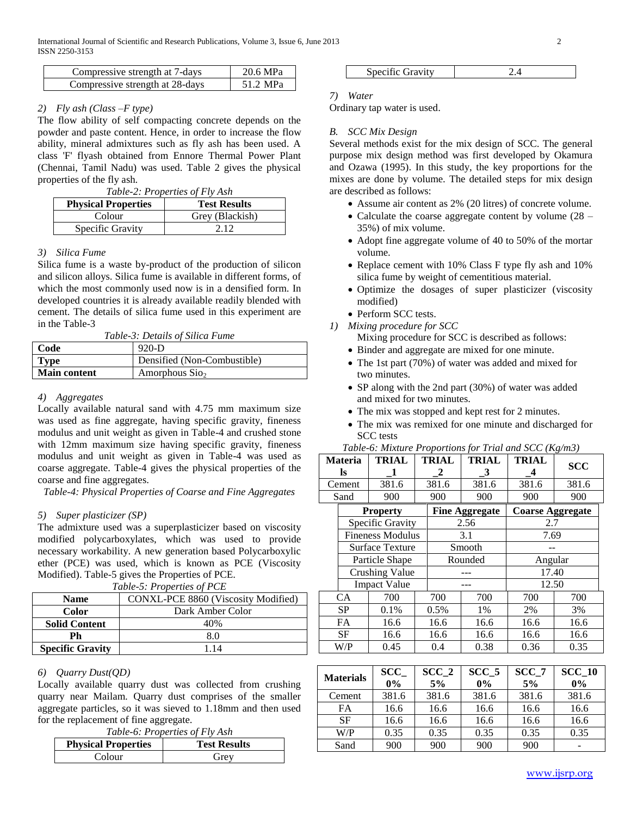| Compressive strength at 7-days  | 20.6 MPa |
|---------------------------------|----------|
| Compressive strength at 28-days | 51.2 MPa |

# *2) Fly ash (Class –F type)*

The flow ability of self compacting concrete depends on the powder and paste content. Hence, in order to increase the flow ability, mineral admixtures such as fly ash has been used. A class 'F' flyash obtained from Ennore Thermal Power Plant (Chennai, Tamil Nadu) was used. Table 2 gives the physical properties of the fly ash.

|  |  | Table-2: Properties of Fly Ash |
|--|--|--------------------------------|
|--|--|--------------------------------|

| <b>Physical Properties</b> | <b>Test Results</b> |
|----------------------------|---------------------|
| Colour                     | Grey (Blackish)     |
| Specific Gravity           | 2.12                |

## *3) Silica Fume*

Silica fume is a waste by-product of the production of silicon and silicon alloys. Silica fume is available in different forms, of which the most commonly used now is in a densified form. In developed countries it is already available readily blended with cement. The details of silica fume used in this experiment are in the Table-3

*Table-3: Details of Silica Fume*

| Code                | $920-D$                       |
|---------------------|-------------------------------|
| <b>Type</b>         | Densified (Non-Combustible)   |
| <b>Main content</b> | Amorphous $S$ io <sub>2</sub> |

# *4) Aggregates*

Locally available natural sand with 4.75 mm maximum size was used as fine aggregate, having specific gravity, fineness modulus and unit weight as given in Table-4 and crushed stone with 12mm maximum size having specific gravity, fineness modulus and unit weight as given in Table-4 was used as coarse aggregate. Table-4 gives the physical properties of the coarse and fine aggregates.

*Table-4: Physical Properties of Coarse and Fine Aggregates*

#### *5) Super plasticizer (SP)*

The admixture used was a superplasticizer based on viscosity modified polycarboxylates, which was used to provide necessary workability. A new generation based Polycarboxylic ether (PCE) was used, which is known as PCE (Viscosity Modified). Table-5 gives the Properties of PCE.

| <b>Name</b>             | CONXL-PCE 8860 (Viscosity Modified) |
|-------------------------|-------------------------------------|
| Color                   | Dark Amber Color                    |
| <b>Solid Content</b>    | 40%                                 |
| Ph                      | 8.0                                 |
| <b>Specific Gravity</b> | 114                                 |

#### *6) Quarry Dust(QD)*

Locally available quarry dust was collected from crushing quarry near Mailam. Quarry dust comprises of the smaller aggregate particles, so it was sieved to 1.18mm and then used for the replacement of fine aggregate.

*Table-6: Properties of Fly Ash*

| <b>Physical Properties</b> | <b>Test Results</b> |
|----------------------------|---------------------|
| Colour                     | Grey                |

| Specific Gravity |  |
|------------------|--|
|                  |  |

#### *7) Water*

Ordinary tap water is used.

# *B. SCC Mix Design*

Several methods exist for the mix design of SCC. The general purpose mix design method was first developed by Okamura and Ozawa (1995). In this study, the key proportions for the mixes are done by volume. The detailed steps for mix design are described as follows:

- Assume air content as 2% (20 litres) of concrete volume.
- Calculate the coarse aggregate content by volume (28 35%) of mix volume.
- Adopt fine aggregate volume of 40 to 50% of the mortar volume.
- Replace cement with 10% Class F type fly ash and 10% silica fume by weight of cementitious material.
- Optimize the dosages of super plasticizer (viscosity modified)
- Perform SCC tests.
- *1) Mixing procedure for SCC*
	- Mixing procedure for SCC is described as follows:
	- Binder and aggregate are mixed for one minute.
	- The 1st part (70%) of water was added and mixed for two minutes.
	- SP along with the 2nd part (30%) of water was added and mixed for two minutes.

*Table-6: Mixture Proportions for Trial and SCC (Kg/m3)*

- The mix was stopped and kept rest for 2 minutes.
- The mix was remixed for one minute and discharged for SCC tests

|                         | <b>Materia</b><br>ls  | <b>TRIAL</b><br>1 | <b>TRIAL</b><br>2 | <b>TRIAL</b><br>3     | <b>TRIAL</b><br>4       | <b>SCC</b> |
|-------------------------|-----------------------|-------------------|-------------------|-----------------------|-------------------------|------------|
|                         | Cement                | 381.6             | 381.6             | 381.6                 | 381.6                   | 381.6      |
|                         | Sand                  | 900               | 900               | 900                   | 900                     | 900        |
|                         |                       | <b>Property</b>   |                   | <b>Fine Aggregate</b> | <b>Coarse Aggregate</b> |            |
|                         |                       | Specific Gravity  |                   | 2.56                  | 2.7                     |            |
| <b>Fineness Modulus</b> |                       |                   | 3.1               |                       | 7.69                    |            |
| Surface Texture         |                       |                   | Smooth            |                       |                         |            |
| Particle Shape          |                       |                   | Rounded           |                       | Angular                 |            |
|                         | <b>Crushing Value</b> |                   |                   |                       |                         | 17.40      |
|                         | <b>Impact Value</b>   |                   |                   |                       | 12.50                   |            |
|                         | CA                    | 700               | 700               | 700                   | 700                     | 700        |
|                         | <b>SP</b>             | 0.1%              | 0.5%              | 1%                    | 2%                      | 3%         |
|                         | <b>FA</b>             | 16.6              | 16.6              | 16.6                  | 16.6                    | 16.6       |
|                         | <b>SF</b>             | 16.6              | 16.6              | 16.6                  | 16.6                    | 16.6       |
|                         | W/P                   | 0.45              | 0.4               | 0.38                  | 0.36                    | 0.35       |

| <b>Materials</b> | SCC<br>$0\%$ | SCC <sub>2</sub><br>5% | SCC <sub>5</sub><br>$0\%$ | SCC 7<br>5% | <b>SCC 10</b><br>$0\%$ |
|------------------|--------------|------------------------|---------------------------|-------------|------------------------|
| Cement           | 381.6        | 381.6                  | 381.6                     | 381.6       | 381.6                  |
| FA               | 16.6         | 16.6                   | 16.6                      | 16.6        | 16.6                   |
| <b>SF</b>        | 16.6         | 16.6                   | 16.6                      | 16.6        | 16.6                   |
| W/P              | 0.35         | 0.35                   | 0.35                      | 0.35        | 0.35                   |
| Sand             | 900          | 900                    | 900                       | 900         |                        |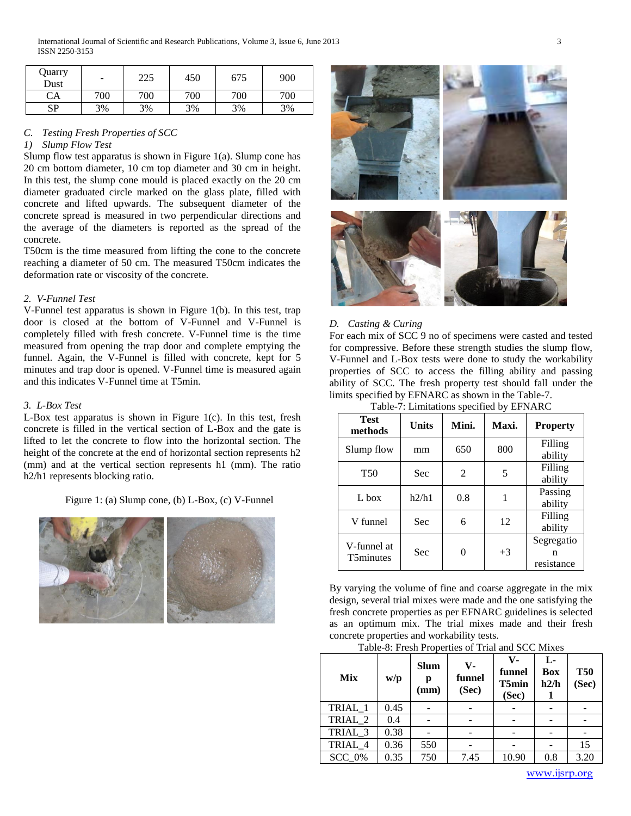| Quarry<br>Dust | -   | 225 | 450 | 675 | 900 |
|----------------|-----|-----|-----|-----|-----|
| CA             | 700 | 700 | 700 | 700 | 700 |
| çр             | 3%  | 3%  | 3%  | 3%  | 3%  |

# *C. Testing Fresh Properties of SCC*

# *1) Slump Flow Test*

Slump flow test apparatus is shown in Figure 1(a). Slump cone has 20 cm bottom diameter, 10 cm top diameter and 30 cm in height. In this test, the slump cone mould is placed exactly on the 20 cm diameter graduated circle marked on the glass plate, filled with concrete and lifted upwards. The subsequent diameter of the concrete spread is measured in two perpendicular directions and the average of the diameters is reported as the spread of the concrete.

T50cm is the time measured from lifting the cone to the concrete reaching a diameter of 50 cm. The measured T50cm indicates the deformation rate or viscosity of the concrete.

#### *2. V-Funnel Test*

V-Funnel test apparatus is shown in Figure 1(b). In this test, trap door is closed at the bottom of V-Funnel and V-Funnel is completely filled with fresh concrete. V-Funnel time is the time measured from opening the trap door and complete emptying the funnel. Again, the V-Funnel is filled with concrete, kept for 5 minutes and trap door is opened. V-Funnel time is measured again and this indicates V-Funnel time at T5min.

# *3. L-Box Test*

L-Box test apparatus is shown in Figure 1(c). In this test, fresh concrete is filled in the vertical section of L-Box and the gate is lifted to let the concrete to flow into the horizontal section. The height of the concrete at the end of horizontal section represents h2 (mm) and at the vertical section represents h1 (mm). The ratio h2/h1 represents blocking ratio.

Figure 1: (a) Slump cone, (b) L-Box, (c) V-Funnel





# *D. Casting & Curing*

For each mix of SCC 9 no of specimens were casted and tested for compressive. Before these strength studies the slump flow, V-Funnel and L-Box tests were done to study the workability properties of SCC to access the filling ability and passing ability of SCC. The fresh property test should fall under the limits specified by EFNARC as shown in the Table-7.

| <b>Test</b><br>methods          | Units | Mini. | Maxi. | <b>Property</b>               |
|---------------------------------|-------|-------|-------|-------------------------------|
| Slump flow                      | mm    | 650   | 800   | Filling<br>ability            |
| <b>T50</b>                      | Sec   | 2     | 5     | Filling<br>ability            |
| $L$ box                         | h2/h1 | 0.8   |       | Passing<br>ability            |
| V funnel                        | Sec   | 6     | 12    | Filling<br>ability            |
| V-funnel at<br><b>T5minutes</b> | Sec   | 0     | $+3$  | Segregatio<br>n<br>resistance |

By varying the volume of fine and coarse aggregate in the mix design, several trial mixes were made and the one satisfying the fresh concrete properties as per EFNARC guidelines is selected as an optimum mix. The trial mixes made and their fresh concrete properties and workability tests.

| <b>Mix</b> | w/p  | <b>Slum</b><br>р<br>(mm) | $V -$<br>funnel<br>(Sec) | V-<br>funnel<br>T5min<br>(Sec) | L-<br><b>Box</b><br>h2/h | <b>T50</b><br>(Sec) |
|------------|------|--------------------------|--------------------------|--------------------------------|--------------------------|---------------------|
| TRIAL 1    | 0.45 |                          |                          |                                |                          |                     |
| TRIAL 2    | 0.4  |                          |                          |                                |                          |                     |
| TRIAL 3    | 0.38 |                          |                          |                                |                          |                     |
| TRIAL 4    | 0.36 | 550                      |                          |                                |                          | 15                  |
| SCC 0%     | 0.35 | 750                      | 7.45                     | 10.90                          | 0.8                      | 3.20                |

www.ijsrp.org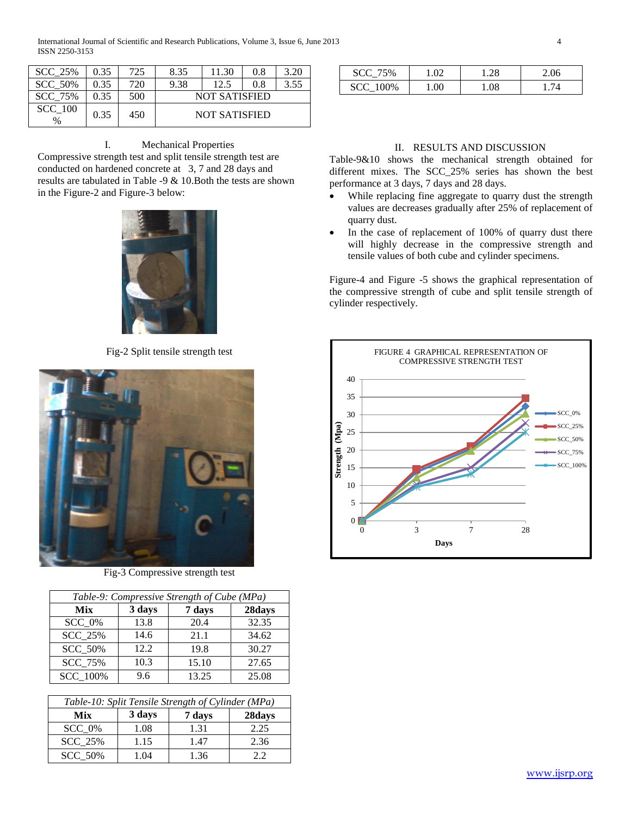| <b>SCC 25%</b>         | 0.35 | 725 | 8.35                 | 11.30                | 0.8 | 3.20 |
|------------------------|------|-----|----------------------|----------------------|-----|------|
| <b>SCC 50%</b>         | 0.35 | 720 | 9.38                 | 12.5                 | 0.8 | 3.55 |
| SCC 75%                | 0.35 | 500 | <b>NOT SATISFIED</b> |                      |     |      |
| <b>SCC</b> 100<br>$\%$ | 0.35 | 450 |                      | <b>NOT SATISFIED</b> |     |      |

I. Mechanical Properties

Compressive strength test and split tensile strength test are conducted on hardened concrete at 3, 7 and 28 days and results are tabulated in Table -9 & 10.Both the tests are shown in the Figure-2 and Figure-3 below:



Fig-2 Split tensile strength test



Fig-3 Compressive strength test

| Table-9: Compressive Strength of Cube (MPa) |        |        |        |  |  |
|---------------------------------------------|--------|--------|--------|--|--|
| Mix                                         | 3 days | 7 days | 28days |  |  |
| SCC 0%                                      | 13.8   | 20.4   | 32.35  |  |  |
| <b>SCC 25%</b>                              | 14.6   | 21.1   | 34.62  |  |  |
| <b>SCC 50%</b>                              | 12.2   | 19.8   | 30.27  |  |  |
| <b>SCC 75%</b>                              | 10.3   | 15.10  | 27.65  |  |  |
| <b>SCC</b> 100%                             | 9.6    | 13.25  | 25.08  |  |  |

| Table-10: Split Tensile Strength of Cylinder (MPa) |        |        |        |  |  |
|----------------------------------------------------|--------|--------|--------|--|--|
| Mix                                                | 3 days | 7 days | 28days |  |  |
| $SCC_0\%$                                          | 1.08   | 1.31   | 2.25   |  |  |
| <b>SCC 25%</b>                                     | 1.15   | 1.47   | 2.36   |  |  |
| <b>SCC 50%</b>                                     | 1.04   | 1.36   | 22     |  |  |

| <b>SCC 75%</b>  |     | .28 | 2.06 |
|-----------------|-----|-----|------|
| <b>SCC</b> 100% | .00 | .08 |      |

# II. RESULTS AND DISCUSSION

Table-9&10 shows the mechanical strength obtained for different mixes. The SCC\_25% series has shown the best performance at 3 days, 7 days and 28 days.

- While replacing fine aggregate to quarry dust the strength values are decreases gradually after 25% of replacement of quarry dust.
- In the case of replacement of 100% of quarry dust there will highly decrease in the compressive strength and tensile values of both cube and cylinder specimens.

Figure-4 and Figure -5 shows the graphical representation of the compressive strength of cube and split tensile strength of cylinder respectively.